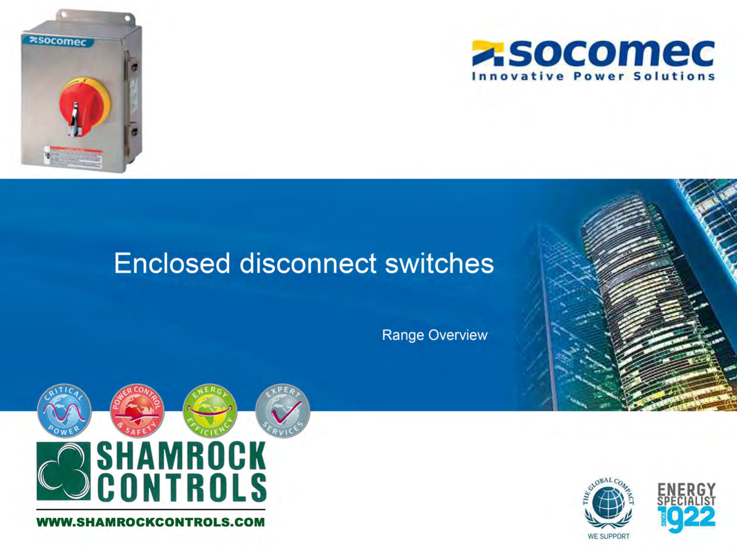



### **Enclosed disconnect switches**

**Range Overview** 



**W.SHAMROCKCONTROLS.COM** 

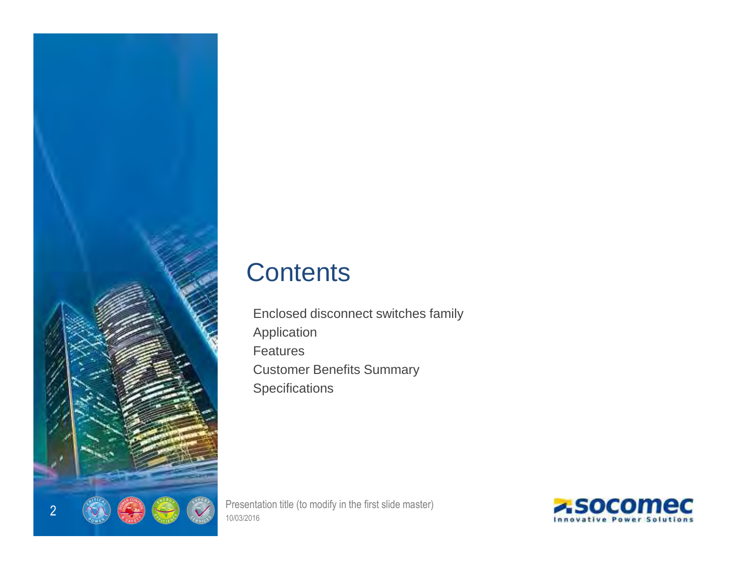

### **Contents**

Enclosed disconnect switches familyApplicationFeatures Customer Benefits Summary**Specifications** 

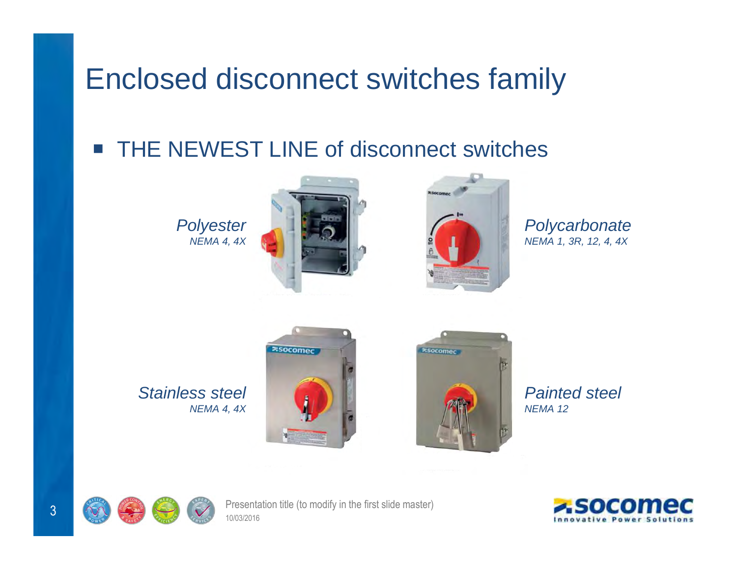# Enclosed disconnect switches family

#### $\frac{1}{2}$ THE NEWEST LINE of disconnect switches

**Polyester** NEMA 4, 4X





**Polycarbonate** NEMA 1, 3R, 12, 4, 4X

Stainless steelNEMA 4, 4X





Painted steelNEMA 12



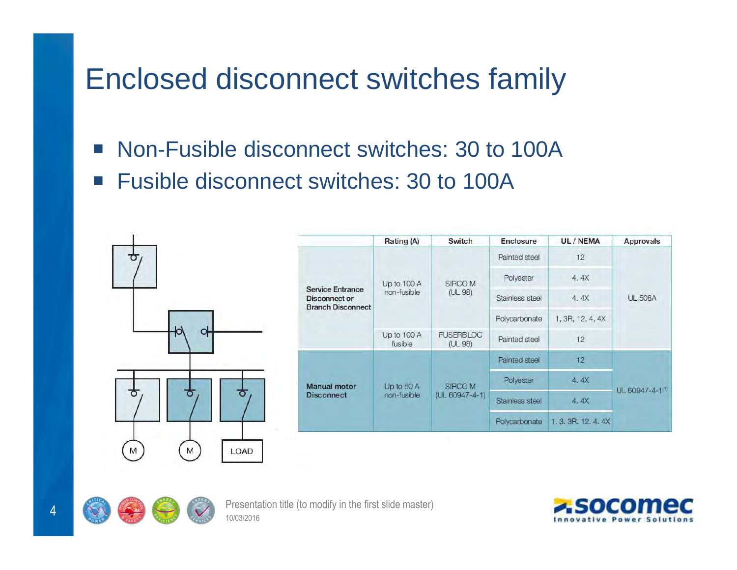# Enclosed disconnect switches family

- $\mathbb{R}^n$ Non-Fusible disconnect switches: 30 to 100A
- $\mathcal{L}_{\mathcal{A}}$ Fusible disconnect switches: 30 to 100A



|                                                                             | Rating (A)                 | Switch                          | <b>Enclosure</b> | UL / NEMA        | <b>Approvals</b> |  |
|-----------------------------------------------------------------------------|----------------------------|---------------------------------|------------------|------------------|------------------|--|
| <b>Service Entrance</b><br><b>Disconnect or</b><br><b>Branch Disconnect</b> | Up to 100 A<br>non-fusible | SIRCO M<br>(UL 98)              | Painted steel    | 12               |                  |  |
|                                                                             |                            |                                 | Polyester        | 4.4X             | <b>UL 508A</b>   |  |
|                                                                             |                            |                                 | Stainless steel  | 4.4X             |                  |  |
|                                                                             |                            |                                 | Polycarbonate    | 1, 3R, 12, 4, 4X |                  |  |
|                                                                             | Up to 100 A<br>fusible     | <b>FUSERBLOC</b><br>(UL 98)     | Painted steel    | 12               |                  |  |
| <b>Manual motor</b><br><b>Disconnect</b>                                    | Up to 60 A<br>non-fusible  | SIRCO M<br>$(UL 60947 - 4 - 1)$ | Painted steel    | 12               | UL 60947-4-1(1)  |  |
|                                                                             |                            |                                 | Polyester        | 4.4X             |                  |  |
|                                                                             |                            |                                 | Stainless steel  | 4.4X             |                  |  |
|                                                                             |                            |                                 | Polycarbonate    | 1.3.3R.12.4.4X   |                  |  |



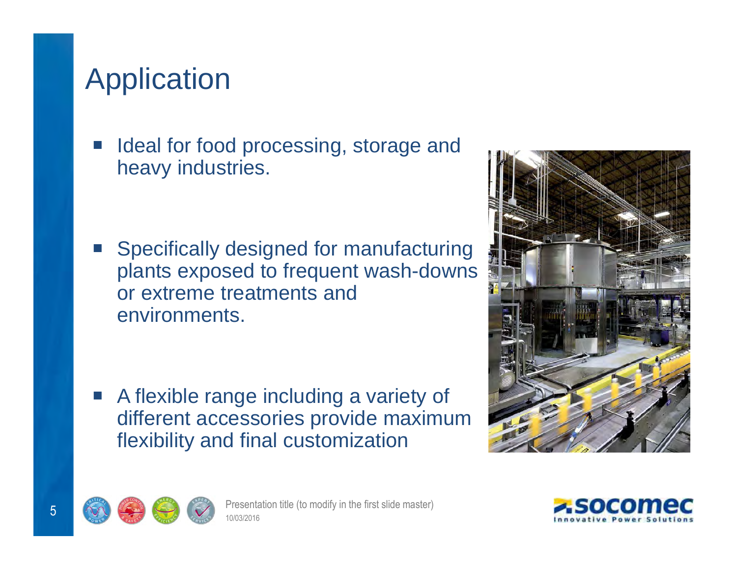# Application

**Service Service**  Ideal for food processing, storage and heavy industries.

**Service Service**  Specifically designed for manufacturing plants exposed to frequent wash-downs or extreme treatments and environments.

 $\mathcal{L}_{\mathcal{A}}$  A flexible range including a variety of different accessories provide maximum flexibility and final customization





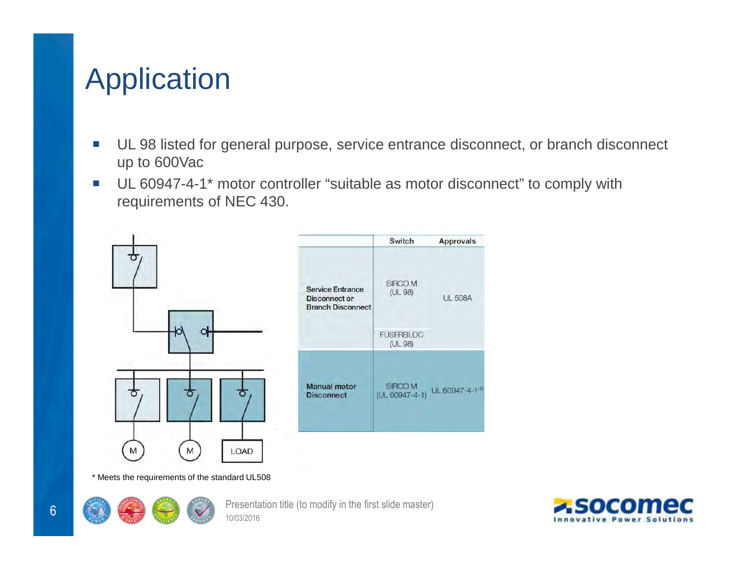# Application

- $\mathbb{R}^n$  UL 98 listed for general purpose, service entrance disconnect, or branch disconnect up to 600Vac
- $\mathcal{L}_{\mathcal{A}}$  UL 60947-4-1\* motor controller "suitable as motor disconnect" to comply with requirements of NEC 430.



\* Meets the requirements of the standard UL508



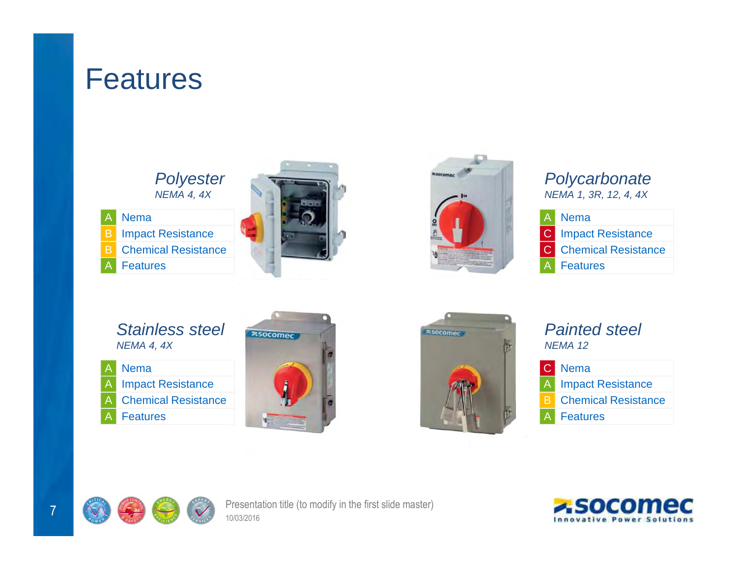## Features



Nema Impact Resistance**B** Chemical Resistance A Features BAB





### **Polycarbonate** NEMA 1, 3R, 12, 4, 4X

| A Nema                       |
|------------------------------|
| <b>C</b> Impact Resistance   |
| <b>C</b> Chemical Resistance |
| <b>A</b> Features            |
|                              |

- Stainless steelNEMA 4, 4X
- Nema Impact ResistanceA Chemical Resistance **Features** AAA

A





### Painted steelNEMA 12

|    | <b>C</b> Nema              |
|----|----------------------------|
|    | <b>A</b> Impact Resistance |
| R. | <b>Chemical Resistance</b> |
|    | <b>A</b> Features          |
|    |                            |



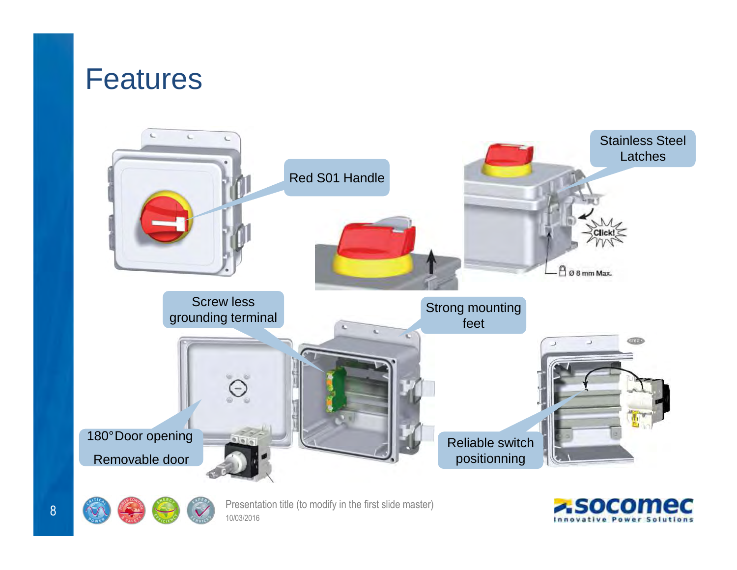## Features





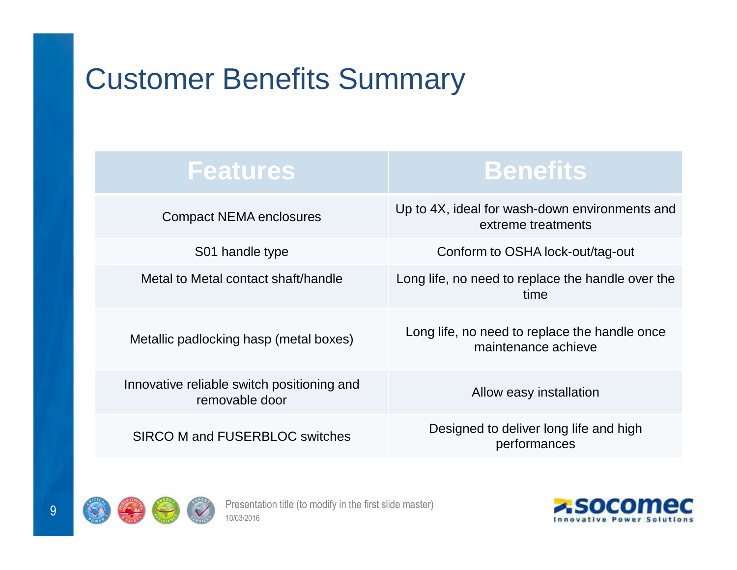# Customer Benefits Summary

### **Features**

Compact NEMA enclosures

S01 handle type

Metallic padlocking hasp (metal boxes)

Innovative reliable switch positioning and removable door

SIRCO M and FUSERBLOC switches

**Benefits**

Up to 4X, ideal for wash-down environments and extreme treatments

Conform to OSHA lock-out/tag-out

Metal to Metal contact shaft/handle Long life, no need to replace the handle over the time

Long life, no need to replace the handle once maintenance achieve

Allow easy installation

Designed to deliver long life and high performances



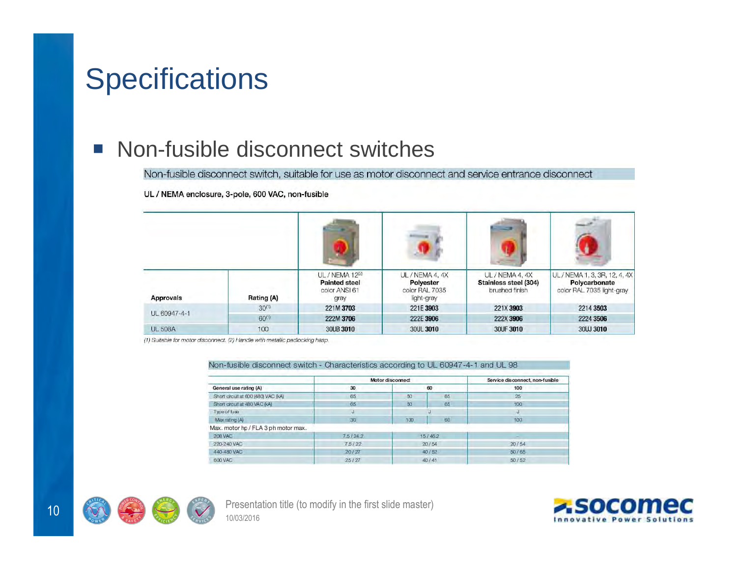# **Specifications**

### $\mathcal{L}_{\mathcal{A}}$ Non-fusible disconnect switches<br>Non-fusible disconnect switch, suitable for use as motor disconnect and service entrance disconnect

UL / NEMA enclosure, 3-pole, 600 VAC, non-fusible

| Approvals      | Rating (A) | UL / NEMA 12(2)<br><b>Painted steel</b><br>color ANSI 61<br>gray | UL / NEMA 4, 4X<br>Polyester<br>color RAL 7035<br>light-gray | UL / NEMA 4, 4X<br>Stainless steel (304)<br>brushed finish | UL / NEMA 1, 3, 3R, 12, 4, 4X<br>Polycarbonate<br>color RAL 7035 light-gray |
|----------------|------------|------------------------------------------------------------------|--------------------------------------------------------------|------------------------------------------------------------|-----------------------------------------------------------------------------|
| UL 60947-4-1   | $30^{(1)}$ | 221M 3703                                                        | 221E 3903                                                    | 221X 3903                                                  | 2214 3503                                                                   |
|                | $60^{(1)}$ | 222M 3706                                                        | 222E 3906                                                    | 222X 3906                                                  | 2224 3506                                                                   |
| <b>UL 508A</b> | 100        | 30UB 3010                                                        | 30UL 3010                                                    | 30UF 3010                                                  | 30UJ 3010                                                                   |

(1) Suitable for motor disconnect. (2) Handle with metallic padlocking hasp.

#### Non-fusible disconnect switch - Characteristics according to UL 60947-4-1 and UL 98

|                                     | Motor disconnect |          |    | Service disconnect, non-fusible |  |
|-------------------------------------|------------------|----------|----|---------------------------------|--|
| General use rating (A)              | 30               | 60       |    | 100<br>25                       |  |
| Short crouit at 600 (480) VAC (4A)  | 65               | 65<br>50 |    |                                 |  |
| Short crout at 480 VAC (A)          | 65               | 50       | 65 | 100                             |  |
| Type of fuse                        |                  |          |    | w                               |  |
| Max rating (A)                      | 30 <sub>1</sub>  | 100      | 60 | 100                             |  |
| Max. motor hp / FLA 3 ph motor max. |                  |          |    |                                 |  |
| <b>208 VAC</b>                      | 7.5/24.2         | 15/462   |    |                                 |  |
| 220-240 VAC                         | 75/22            | 20/54    |    | 20/54                           |  |
| 440-480 VAC                         | 20/27            | 40 / 52  |    | 50/65                           |  |
| 600 VAC                             | 25/27            | 40 / 41  |    | 50/52                           |  |